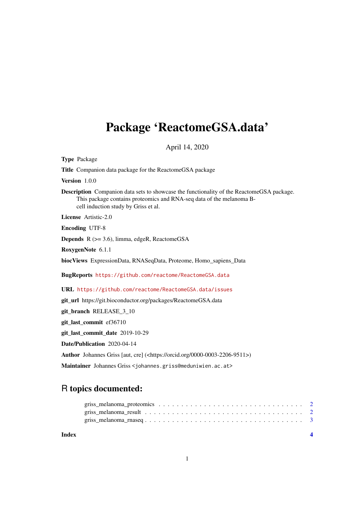# <span id="page-0-0"></span>Package 'ReactomeGSA.data'

April 14, 2020

Type Package

Title Companion data package for the ReactomeGSA package

Version 1.0.0

Description Companion data sets to showcase the functionality of the ReactomeGSA package. This package contains proteomics and RNA-seq data of the melanoma Bcell induction study by Griss et al.

License Artistic-2.0

Encoding UTF-8

Depends R (>= 3.6), limma, edgeR, ReactomeGSA

RoxygenNote 6.1.1

biocViews ExpressionData, RNASeqData, Proteome, Homo\_sapiens\_Data

BugReports <https://github.com/reactome/ReactomeGSA.data>

URL <https://github.com/reactome/ReactomeGSA.data/issues>

git\_url https://git.bioconductor.org/packages/ReactomeGSA.data

git\_branch RELEASE\_3\_10

git last commit ef36710

git\_last\_commit\_date 2019-10-29

Date/Publication 2020-04-14

Author Johannes Griss [aut, cre] (<https://orcid.org/0000-0003-2206-9511>)

Maintainer Johannes Griss <johannes.griss@meduniwien.ac.at>

# R topics documented:

**Index** [4](#page-3-0)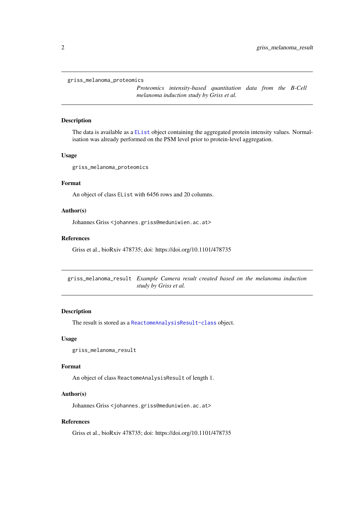#### <span id="page-1-0"></span>griss\_melanoma\_proteomics

*Proteomics intensity-based quantitation data from the B-Cell melanoma induction study by Griss et al.*

#### Description

The data is available as a [EList](#page-0-0) object containing the aggregated protein intensity values. Normalisation was already performed on the PSM level prior to protein-level aggregation.

#### Usage

griss\_melanoma\_proteomics

#### Format

An object of class EList with 6456 rows and 20 columns.

# Author(s)

Johannes Griss <johannes.griss@meduniwien.ac.at>

#### References

Griss et al., bioRxiv 478735; doi: https://doi.org/10.1101/478735

griss\_melanoma\_result *Example Camera result created based on the melanoma induction study by Griss et al.*

#### Description

The result is stored as a [ReactomeAnalysisResult-class](#page-0-0) object.

#### Usage

```
griss_melanoma_result
```
#### Format

An object of class ReactomeAnalysisResult of length 1.

#### Author(s)

Johannes Griss <johannes.griss@meduniwien.ac.at>

#### References

Griss et al., bioRxiv 478735; doi: https://doi.org/10.1101/478735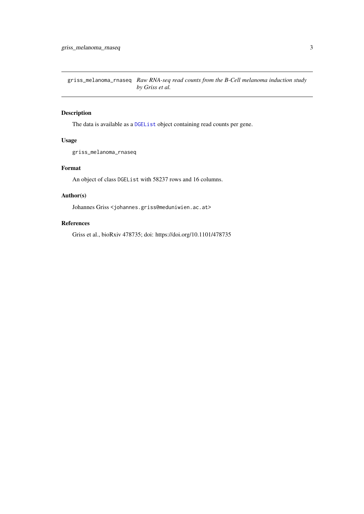<span id="page-2-0"></span>griss\_melanoma\_rnaseq *Raw RNA-seq read counts from the B-Cell melanoma induction study by Griss et al.*

# Description

The data is available as a [DGEList](#page-0-0) object containing read counts per gene.

# Usage

griss\_melanoma\_rnaseq

#### Format

An object of class DGEList with 58237 rows and 16 columns.

# Author(s)

Johannes Griss <johannes.griss@meduniwien.ac.at>

# References

Griss et al., bioRxiv 478735; doi: https://doi.org/10.1101/478735